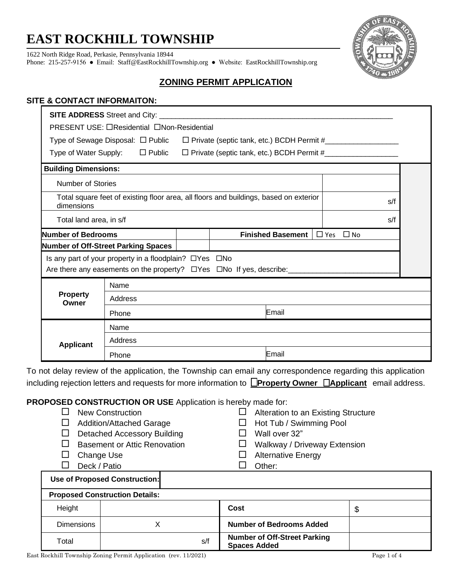# **EAST ROCKHILL TOWNSHIP**

1622 North Ridge Road, Perkasie, Pennsylvania 18944

Phone: 215-257-9156 ● Email: [Staff@EastRockhillTownship.org](mailto:Staff@EastRockhillTownship.org) ● Website: [EastRockhillTownship.org](http://www.eastrockhilltownship.org/)



# **ZONING PERMIT APPLICATION**

## **SITE & CONTACT INFORMAITON:**

| PRESENT USE: □Residential □Non-Residential<br>Type of Sewage Disposal: □ Public □ Private (septic tank, etc.) BCDH Permit #______________<br>Type of Water Supply: □ Public □ Private (septic tank, etc.) BCDH Permit #_________________________ |  |  |
|--------------------------------------------------------------------------------------------------------------------------------------------------------------------------------------------------------------------------------------------------|--|--|
|                                                                                                                                                                                                                                                  |  |  |
|                                                                                                                                                                                                                                                  |  |  |
|                                                                                                                                                                                                                                                  |  |  |
| <b>Building Dimensions:</b>                                                                                                                                                                                                                      |  |  |
| Number of Stories                                                                                                                                                                                                                                |  |  |
| Total square feet of existing floor area, all floors and buildings, based on exterior<br>s/f<br>dimensions                                                                                                                                       |  |  |
| Total land area, in s/f<br>s/f                                                                                                                                                                                                                   |  |  |
| <b>Number of Bedrooms</b><br><b>Finished Basement</b> $\Box$ Yes $\Box$ No                                                                                                                                                                       |  |  |
| <b>Number of Off-Street Parking Spaces</b>                                                                                                                                                                                                       |  |  |
| Is any part of your property in a floodplain? DYes DNo                                                                                                                                                                                           |  |  |
| Are there any easements on the property? □ Yes □ No If yes, describe:                                                                                                                                                                            |  |  |
| Name                                                                                                                                                                                                                                             |  |  |
| <b>Property</b><br>Address<br>Owner                                                                                                                                                                                                              |  |  |
| Email<br>Phone                                                                                                                                                                                                                                   |  |  |
| Name                                                                                                                                                                                                                                             |  |  |
| Address<br><b>Applicant</b>                                                                                                                                                                                                                      |  |  |
| Email<br>Phone                                                                                                                                                                                                                                   |  |  |
| To not delay review of the application, the Township can email any correspondence regarding this application                                                                                                                                     |  |  |
| including rejection letters and requests for more information to <b>Property Owner DApplicant</b> email address.                                                                                                                                 |  |  |
|                                                                                                                                                                                                                                                  |  |  |
| PROPOSED CONSTRUCTION OR USE Application is hereby made for:                                                                                                                                                                                     |  |  |
| <b>New Construction</b><br>Alteration to an Existing Structure<br>ப                                                                                                                                                                              |  |  |
| Hot Tub / Swimming Pool<br><b>Addition/Attached Garage</b><br>ΙI<br>$\mathsf{L}$                                                                                                                                                                 |  |  |

- $\Box$  Basement or Attic Renovation  $\Box$  Walkway / Driveway Extension
- 
- 
- 
- 
- □ Change Use <br>
□ Alternative Energy
- D Deck / Patio D Other:

| Use of Proposed Construction: |                                       |                                                            |    |  |
|-------------------------------|---------------------------------------|------------------------------------------------------------|----|--|
|                               | <b>Proposed Construction Details:</b> |                                                            |    |  |
| Height                        |                                       | Cost                                                       | \$ |  |
| <b>Dimensions</b>             |                                       | <b>Number of Bedrooms Added</b>                            |    |  |
| Total                         | s/f                                   | <b>Number of Off-Street Parking</b><br><b>Spaces Added</b> |    |  |

٦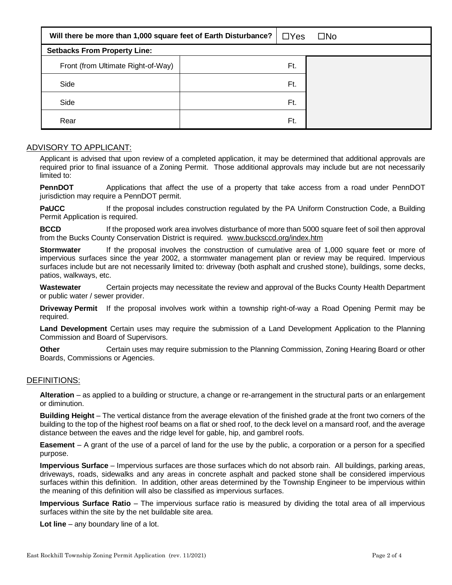| Will there be more than 1,000 square feet of Earth Disturbance? | $\Box$ Yes | $\square$ No |
|-----------------------------------------------------------------|------------|--------------|
| <b>Setbacks From Property Line:</b>                             |            |              |
| Front (from Ultimate Right-of-Way)                              | Ft.        |              |
| Side                                                            | Ft.        |              |
| Side                                                            | Ft.        |              |
| Rear                                                            | Ft.        |              |

#### ADVISORY TO APPLICANT:

Applicant is advised that upon review of a completed application, it may be determined that additional approvals are required prior to final issuance of a Zoning Permit. Those additional approvals may include but are not necessarily limited to:

**PennDOT** Applications that affect the use of a property that take access from a road under PennDOT jurisdiction may require a PennDOT permit.

**PaUCC** If the proposal includes construction regulated by the PA Uniform Construction Code, a Building Permit Application is required.

**BCCD** If the proposed work area involves disturbance of more than 5000 square feet of soil then approval from the Bucks County Conservation District is required. [www.bucksccd.org/index.htm](http://www.bucksccd.org/index.htm)

**Stormwater** If the proposal involves the construction of cumulative area of 1,000 square feet or more of impervious surfaces since the year 2002, a stormwater management plan or review may be required. Impervious surfaces include but are not necessarily limited to: driveway (both asphalt and crushed stone), buildings, some decks, patios, walkways, etc.

**Wastewater** Certain projects may necessitate the review and approval of the Bucks County Health Department or public water / sewer provider.

**Driveway Permit** If the proposal involves work within a township right-of-way a Road Opening Permit may be required.

**Land Development** Certain uses may require the submission of a Land Development Application to the Planning Commission and Board of Supervisors.

**Other Certain uses may require submission to the Planning Commission, Zoning Hearing Board or other** Boards, Commissions or Agencies.

#### DEFINITIONS:

**Alteration** – as applied to a building or structure, a change or re-arrangement in the structural parts or an enlargement or diminution.

**Building Height** – The vertical distance from the average elevation of the finished grade at the front two corners of the building to the top of the highest roof beams on a flat or shed roof, to the deck level on a mansard roof, and the average distance between the eaves and the ridge level for gable, hip, and gambrel roofs.

**Easement** – A grant of the use of a parcel of land for the use by the public, a corporation or a person for a specified purpose.

**Impervious Surface** – Impervious surfaces are those surfaces which do not absorb rain. All buildings, parking areas, driveways, roads, sidewalks and any areas in concrete asphalt and packed stone shall be considered impervious surfaces within this definition. In addition, other areas determined by the Township Engineer to be impervious within the meaning of this definition will also be classified as impervious surfaces.

**Impervious Surface Ratio** – The impervious surface ratio is measured by dividing the total area of all impervious surfaces within the site by the net buildable site area.

**Lot line** – any boundary line of a lot.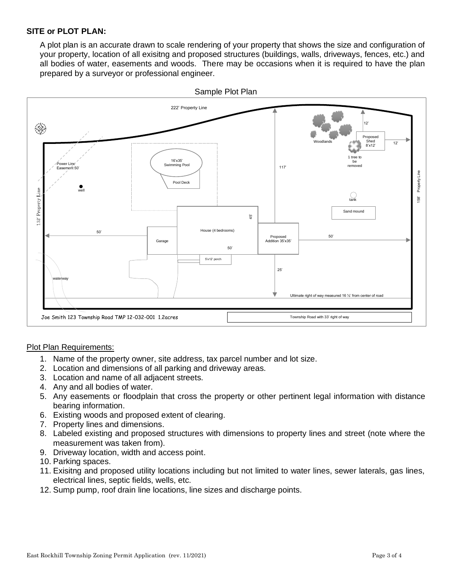### **SITE or PLOT PLAN:**

A plot plan is an accurate drawn to scale rendering of your property that shows the size and configuration of your property, location of all exisitng and proposed structures (buildings, walls, driveways, fences, etc.) and all bodies of water, easements and woods. There may be occasions when it is required to have the plan prepared by a surveyor or professional engineer.



#### Plot Plan Requirements:

- 1. Name of the property owner, site address, tax parcel number and lot size.
- 2. Location and dimensions of all parking and driveway areas.
- 3. Location and name of all adjacent streets.
- 4. Any and all bodies of water.
- 5. Any easements or floodplain that cross the property or other pertinent legal information with distance bearing information.
- 6. Existing woods and proposed extent of clearing.
- 7. Property lines and dimensions.
- 8. Labeled existing and proposed structures with dimensions to property lines and street (note where the measurement was taken from).
- 9. Driveway location, width and access point.
- 10. Parking spaces.
- 11. Exisitng and proposed utility locations including but not limited to water lines, sewer laterals, gas lines, electrical lines, septic fields, wells, etc.
- 12. Sump pump, roof drain line locations, line sizes and discharge points.